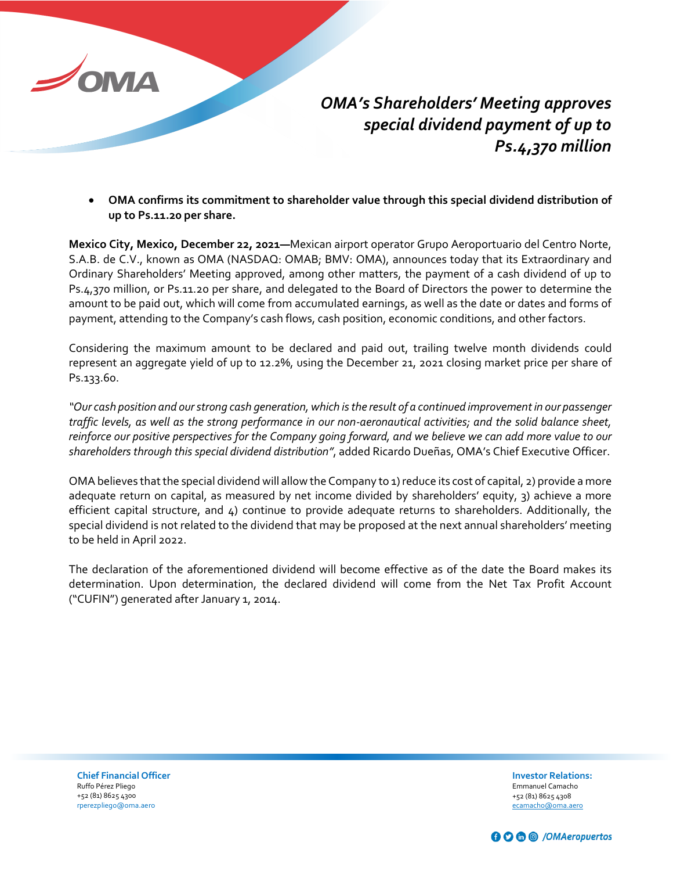

*OMA's Shareholders' Meeting approves special dividend payment of up to Ps.4,370 million*

• **OMA confirms its commitment to shareholder value through this special dividend distribution of up to Ps.11.20 per share.**

**Mexico City, Mexico, December 22, 2021—**Mexican airport operator Grupo Aeroportuario del Centro Norte, S.A.B. de C.V., known as OMA (NASDAQ: OMAB; BMV: OMA), announces today that its Extraordinary and Ordinary Shareholders' Meeting approved, among other matters, the payment of a cash dividend of up to Ps.4,370 million, or Ps.11.20 per share, and delegated to the Board of Directors the power to determine the amount to be paid out, which will come from accumulated earnings, as well as the date or dates and forms of payment, attending to the Company's cash flows, cash position, economic conditions, and other factors.

Considering the maximum amount to be declared and paid out, trailing twelve month dividends could represent an aggregate yield of up to 12.2%, using the December 21, 2021 closing market price per share of Ps.133.60.

*"Our cash position and our strong cash generation, which is the result of a continued improvement in our passenger traffic levels, as well as the strong performance in our non-aeronautical activities; and the solid balance sheet, reinforce our positive perspectives for the Company going forward, and we believe we can add more value to our shareholders through this special dividend distribution"*, added Ricardo Dueñas, OMA's Chief Executive Officer.

OMA believes that the special dividend will allow the Company to 1) reduce its cost of capital, 2) provide a more adequate return on capital, as measured by net income divided by shareholders' equity, 3) achieve a more efficient capital structure, and 4) continue to provide adequate returns to shareholders. Additionally, the special dividend is not related to the dividend that may be proposed at the next annual shareholders' meeting to be held in April 2022.

The declaration of the aforementioned dividend will become effective as of the date the Board makes its determination. Upon determination, the declared dividend will come from the Net Tax Profit Account ("CUFIN") generated after January 1, 2014.

**Chief Financial Officer** Ruffo Pérez Pliego +52 (81) 8625 4300 rperezpliego@oma.aero

**Investor Relations:**  Emmanuel Camacho +52 (81) 8625 4308 [ecamacho@oma.aero](mailto:ecamacho@oma.aero)